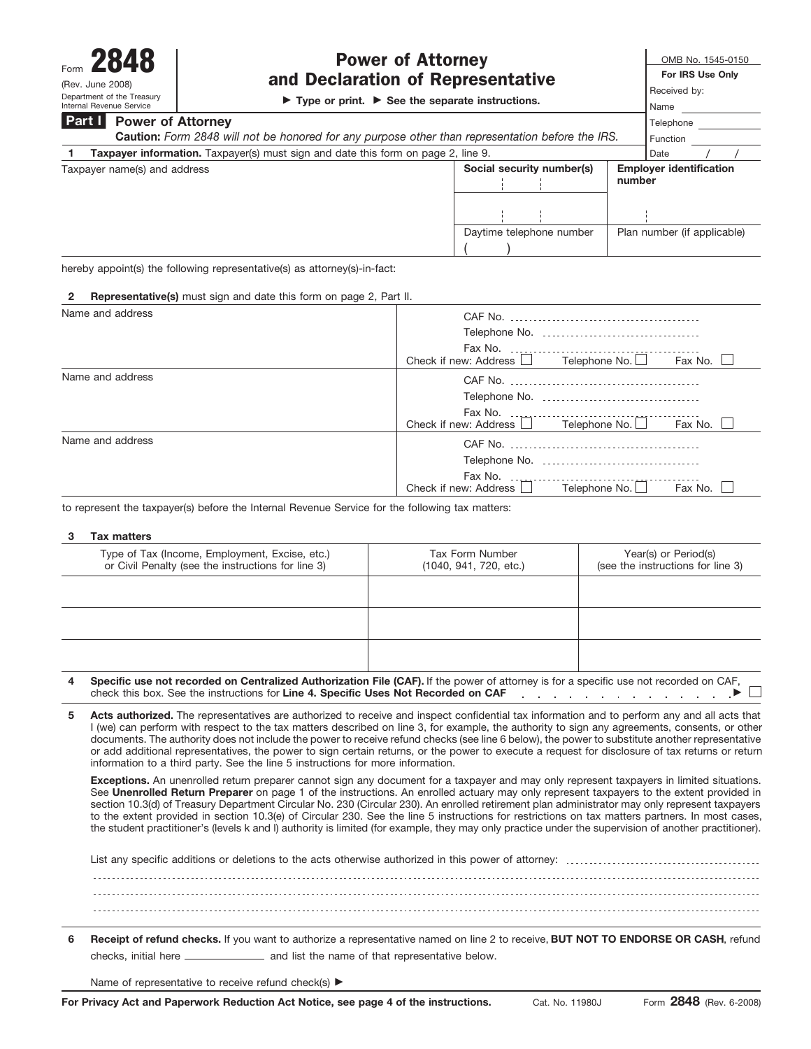Department of the Treasury Internal Revenue Service

# Form  $2848$  Power of Attorney<br>  $F_{\text{CPEV, June 2008}}$  and Declaration of Representative<br>  $F_{\text{CPEV, June 2008}}$ and Declaration of Representative

© **Type or print.** © **See the separate instructions.**

Name Telephone **For IRS Use Only** Received by:

### **Power of Attorney Part I**

| <b>Caution:</b> Form 2848 will not be honored for any purpose other than representation before the IRS. | Function                  |                                          |
|---------------------------------------------------------------------------------------------------------|---------------------------|------------------------------------------|
| <b>Taxpayer information.</b> Taxpayer(s) must sign and date this form on page 2, line 9.                |                           | Date                                     |
| Taxpayer name(s) and address                                                                            | Social security number(s) | <b>Employer identification</b><br>number |
|                                                                                                         |                           |                                          |
|                                                                                                         | Daytime telephone number  | Plan number (if applicable)              |
|                                                                                                         |                           |                                          |

hereby appoint(s) the following representative(s) as attorney(s)-in-fact:

| <b>2 Representative(s)</b> must sign and date this form on page 2, Part II. |                                                                  |
|-----------------------------------------------------------------------------|------------------------------------------------------------------|
| Name and address                                                            |                                                                  |
|                                                                             | Telephone No.                                                    |
|                                                                             |                                                                  |
|                                                                             | Check if new: Address $\Box$ Telephone No. $\Box$<br>Fax No. □   |
| Name and address                                                            |                                                                  |
|                                                                             |                                                                  |
|                                                                             | Check if new: Address $\Box$ Telephone No. $\Box$ Fax No. $\Box$ |
| Name and address                                                            |                                                                  |
|                                                                             | Telephone No.                                                    |
|                                                                             | Check if new: Address Telephone No.<br>Fax No.                   |

to represent the taxpayer(s) before the Internal Revenue Service for the following tax matters:

### **3 Tax matters**

| Type of Tax (Income, Employment, Excise, etc.)<br>or Civil Penalty (see the instructions for line 3)                                                                                                                              | Tax Form Number<br>(1040, 941, 720, etc.) | Year(s) or Period(s)<br>(see the instructions for line 3) |
|-----------------------------------------------------------------------------------------------------------------------------------------------------------------------------------------------------------------------------------|-------------------------------------------|-----------------------------------------------------------|
|                                                                                                                                                                                                                                   |                                           |                                                           |
|                                                                                                                                                                                                                                   |                                           |                                                           |
|                                                                                                                                                                                                                                   |                                           |                                                           |
| Specific use not recorded on Centralized Authorization File (CAF). If the power of attorney is for a specific use not recorded on CAF,<br>4<br>check this box. See the instructions for Line 4. Specific Uses Not Recorded on CAF |                                           |                                                           |

**Acts authorized.** The representatives are authorized to receive and inspect confidential tax information and to perform any and all acts that I (we) can perform with respect to the tax matters described on Iine 3, for example, the authority to sign any agreements, consents, or other documents. The authority does not include the power to receive refund checks (see line 6 below), the power to substitute another representative or add additional representatives, the power to sign certain returns, or the power to execute a request for disclosure of tax returns or return information to a third party. See the line 5 instructions for more information. **5**

**Exceptions.** An unenrolled return preparer cannot sign any document for a taxpayer and may only represent taxpayers in limited situations. See **Unenrolled Return Preparer** on page 1 of the instructions. An enrolled actuary may only represent taxpayers to the extent provided in section 10.3(d) of Treasury Department Circular No. 230 (Circular 230). An enrolled retirement plan administrator may only represent taxpayers to the extent provided in section 10.3(e) of Circular 230. See the line 5 instructions for restrictions on tax matters partners. In most cases, the student practitioner's (levels k and l) authority is limited (for example, they may only practice under the supervision of another practitioner).

List any specific additions or deletions to the acts otherwise authorized in this power of attorney:

**6 Receipt of refund checks.** If you want to authorize a representative named on Iine 2 to receive, **BUT NOT TO ENDORSE OR CASH**, refund checks, initial here \_\_\_\_\_\_\_\_\_\_\_\_\_\_\_\_ and list the name of that representative below.

Name of representative to receive refund check(s) ▶